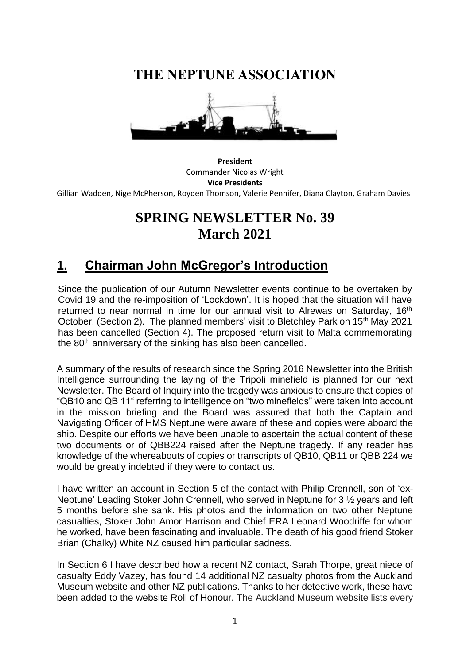**THE NEPTUNE ASSOCIATION**



**President** Commander Nicolas Wright **Vice Presidents** Gillian Wadden, NigelMcPherson, Royden Thomson, Valerie Pennifer, Diana Clayton, Graham Davies

# **SPRING NEWSLETTER No. 39 March 2021**

## **1. Chairman John McGregor's Introduction**

Since the publication of our Autumn Newsletter events continue to be overtaken by Covid 19 and the re-imposition of 'Lockdown'. It is hoped that the situation will have returned to near normal in time for our annual visit to Alrewas on Saturday, 16<sup>th</sup> October. (Section 2). The planned members' visit to Bletchley Park on 15<sup>th</sup> May 2021 has been cancelled (Section 4). The proposed return visit to Malta commemorating the 80<sup>th</sup> anniversary of the sinking has also been cancelled.

A summary of the results of research since the Spring 2016 Newsletter into the British Intelligence surrounding the laying of the Tripoli minefield is planned for our next Newsletter. The Board of Inquiry into the tragedy was anxious to ensure that copies of "QB10 and QB 11" referring to intelligence on "two minefields" were taken into account in the mission briefing and the Board was assured that both the Captain and Navigating Officer of HMS Neptune were aware of these and copies were aboard the ship. Despite our efforts we have been unable to ascertain the actual content of these two documents or of QBB224 raised after the Neptune tragedy. If any reader has knowledge of the whereabouts of copies or transcripts of QB10, QB11 or QBB 224 we would be greatly indebted if they were to contact us.

I have written an account in Section 5 of the contact with Philip Crennell, son of 'ex-Neptune' Leading Stoker John Crennell, who served in Neptune for 3 ½ years and left 5 months before she sank. His photos and the information on two other Neptune casualties, Stoker John Amor Harrison and Chief ERA Leonard Woodriffe for whom he worked, have been fascinating and invaluable. The death of his good friend Stoker Brian (Chalky) White NZ caused him particular sadness.

In Section 6 I have described how a recent NZ contact, Sarah Thorpe, great niece of casualty Eddy Vazey, has found 14 additional NZ casualty photos from the Auckland Museum website and other NZ publications. Thanks to her detective work, these have been added to the website Roll of Honour. The Auckland Museum website lists every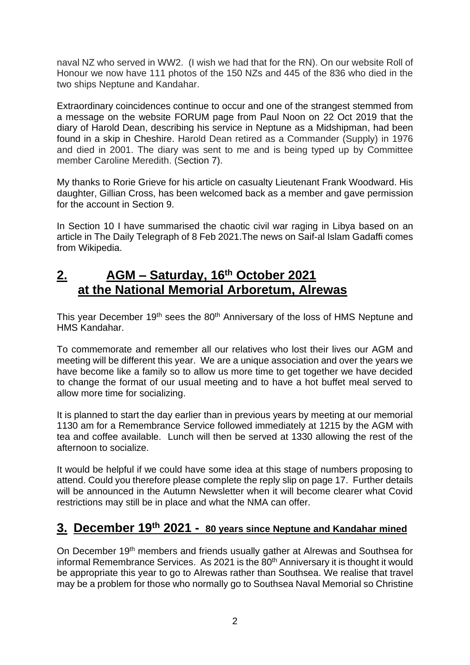naval NZ who served in WW2. (I wish we had that for the RN). On our website Roll of Honour we now have 111 photos of the 150 NZs and 445 of the 836 who died in the two ships Neptune and Kandahar.

Extraordinary coincidences continue to occur and one of the strangest stemmed from a message on the website FORUM page from Paul Noon on 22 Oct 2019 that the diary of Harold Dean, describing his service in Neptune as a Midshipman, had been found in a skip in Cheshire. Harold Dean retired as a Commander (Supply) in 1976 and died in 2001. The diary was sent to me and is being typed up by Committee member Caroline Meredith. (Section 7).

My thanks to Rorie Grieve for his article on casualty Lieutenant Frank Woodward. His daughter, Gillian Cross, has been welcomed back as a member and gave permission for the account in Section 9.

In Section 10 I have summarised the chaotic civil war raging in Libya based on an article in The Daily Telegraph of 8 Feb 2021.The news on Saif-al Islam Gadaffi comes from Wikipedia.

#### **2. AGM – Saturday, 16th October 2021 at the National Memorial Arboretum, Alrewas**

This year December 19<sup>th</sup> sees the 80<sup>th</sup> Anniversary of the loss of HMS Neptune and HMS Kandahar.

To commemorate and remember all our relatives who lost their lives our AGM and meeting will be different this year. We are a unique association and over the years we have become like a family so to allow us more time to get together we have decided to change the format of our usual meeting and to have a hot buffet meal served to allow more time for socializing.

It is planned to start the day earlier than in previous years by meeting at our memorial 1130 am for a Remembrance Service followed immediately at 1215 by the AGM with tea and coffee available. Lunch will then be served at 1330 allowing the rest of the afternoon to socialize.

It would be helpful if we could have some idea at this stage of numbers proposing to attend. Could you therefore please complete the reply slip on page 17. Further details will be announced in the Autumn Newsletter when it will become clearer what Covid restrictions may still be in place and what the NMA can offer.

#### **3. December 19th 2021 - 80 years since Neptune and Kandahar mined**

On December 19<sup>th</sup> members and friends usually gather at Alrewas and Southsea for informal Remembrance Services. As 2021 is the 80<sup>th</sup> Anniversary it is thought it would be appropriate this year to go to Alrewas rather than Southsea. We realise that travel may be a problem for those who normally go to Southsea Naval Memorial so Christine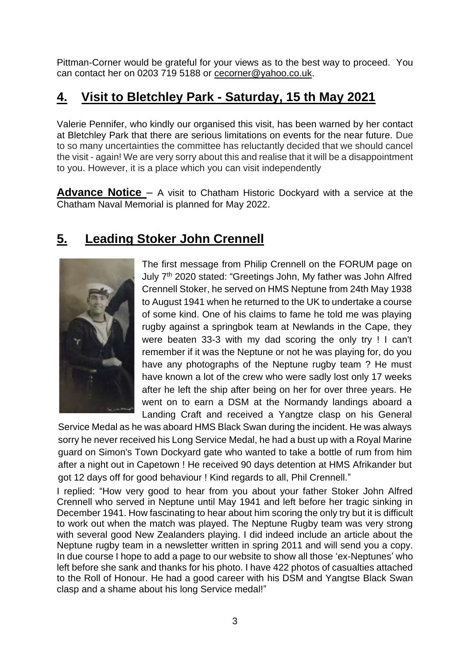Pittman-Corner would be grateful for your views as to the best way to proceed. You can contact her on 0203 719 5188 or [cecorner@yahoo.co.uk.](mailto:cecorner@yahoo.co.uk)

# **4. Visit to Bletchley Park - Saturday, 15 th May 2021**

Valerie Pennifer, who kindly our organised this visit, has been warned by her contact at Bletchley Park that there are serious limitations on events for the near future. Due to so many uncertainties the committee has reluctantly decided that we should cancel the visit - again! We are very sorry about this and realise that it will be a disappointment to you. However, it is a place which you can visit independently

**Advance Notice** – A visit to Chatham Historic Dockyard with a service at the Chatham Naval Memorial is planned for May 2022.

# **5. Leading Stoker John Crennell**



The first message from Philip Crennell on the FORUM page on July 7<sup>th</sup> 2020 stated: "Greetings John, My father was John Alfred Crennell Stoker, he served on HMS Neptune from 24th May 1938 to August 1941 when he returned to the UK to undertake a course of some kind. One of his claims to fame he told me was playing rugby against a springbok team at Newlands in the Cape, they were beaten 33-3 with my dad scoring the only try ! I can't remember if it was the Neptune or not he was playing for, do you have any photographs of the Neptune rugby team ? He must have known a lot of the crew who were sadly lost only 17 weeks after he left the ship after being on her for over three years. He went on to earn a DSM at the Normandy landings aboard a Landing Craft and received a Yangtze clasp on his General

Service Medal as he was aboard HMS Black Swan during the incident. He was always sorry he never received his Long Service Medal, he had a bust up with a Royal Marine guard on Simon's Town Dockyard gate who wanted to take a bottle of rum from him after a night out in Capetown ! He received 90 days detention at HMS Afrikander but got 12 days off for good behaviour ! Kind regards to all, Phil Crennell."

I replied: "How very good to hear from you about your father Stoker John Alfred Crennell who served in Neptune until May 1941 and left before her tragic sinking in December 1941. How fascinating to hear about him scoring the only try but it is difficult to work out when the match was played. The Neptune Rugby team was very strong with several good New Zealanders playing. I did indeed include an article about the Neptune rugby team in a newsletter written in spring 2011 and will send you a copy. In due course I hope to add a page to our website to show all those 'ex-Neptunes' who left before she sank and thanks for his photo. I have 422 photos of casualties attached to the Roll of Honour. He had a good career with his DSM and Yangtse Black Swan clasp and a shame about his long Service medal!"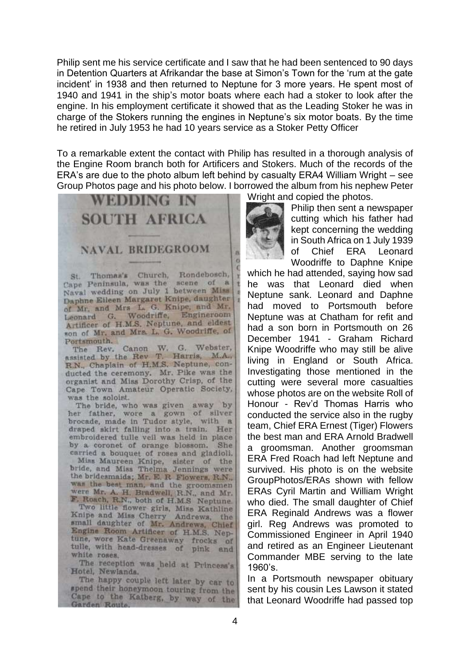Philip sent me his service certificate and I saw that he had been sentenced to 90 days in Detention Quarters at Afrikandar the base at Simon's Town for the 'rum at the gate incident' in 1938 and then returned to Neptune for 3 more years. He spent most of 1940 and 1941 in the ship's motor boats where each had a stoker to look after the engine. In his employment certificate it showed that as the Leading Stoker he was in charge of the Stokers running the engines in Neptune's six motor boats. By the time he retired in July 1953 he had 10 years service as a Stoker Petty Officer

To a remarkable extent the contact with Philip has resulted in a thorough analysis of the Engine Room branch both for Artificers and Stokers. Much of the records of the ERA's are due to the photo album left behind by casualty ERA4 William Wright – see Group Photos page and his photo below. I borrowed the album from his nephew Peter

> ä ö



St. Thomas's Church, Rondebosch,<br>Cape Peninsula, was the scene of a Naval wedding on July 1 between Miss Daphne Eileen Margaret Knipe, daughter of Mr. and Mrs L. G. Knipe, and Mr. Engineroom Leonard G. Woodriffe, Artificer of H.M.S. Neptune, and eldest son of Mr. and Mrs. L. G. Woodriffe, of Portsmouth.

The Rev. Canon W. G. Webster, assisted by the Rev T. Harris, M.A., R.N., Chaplain of H.M.S. Neptune, conducted the ceremony. Mr. Pike was the organist and Miss Dorothy Crisp, of the Cape Town Amateur Operatic Society, was the soloist.

The bride, who was given away by her father, wore a gown of silver brocade, made in Tudor style, with a draped skirt falling into a train. Her embroidered tulle veil was held in place by a coronet of orange blossom. She carried a bouquet of roses and gladioli.

Miss Maureen Knipe, sister of the<br>bride, and Miss Thelma Jennings were the bridesmaids; Mr. E. R. Flowers, R.N., was the best man, and the groomsmen were Mr. A. H. Bradwell, R.N., and Mr.<br>F. Roach, R.N., both of H.M.S. Neptune.<br>Two little flower girls, Miss Kathline

Knipe and Miss Cherry Andrews, the small daughter of Mr. Andrews, Chief Engine Room Artificer of H.M.S. Neptune, wore Kate Greenaway frocks of tulle, with head-dresses of pink and white roses.

The reception was held at Princess's Hotel, Newlands.

The happy couple left later by car to spend their honeymoon touring from the Cape to the Katberg, by way of the Garden Route,

Wright and copied the photos.



Philip then sent a newspaper cutting which his father had kept concerning the wedding in South Africa on 1 July 1939 of Chief ERA Leonard Woodriffe to Daphne Knipe

which he had attended, saying how sad he was that Leonard died when Neptune sank. Leonard and Daphne had moved to Portsmouth before Neptune was at Chatham for refit and had a son born in Portsmouth on 26 December 1941 - Graham Richard Knipe Woodriffe who may still be alive living in England or South Africa. Investigating those mentioned in the cutting were several more casualties whose photos are on the website Roll of Honour - Rev'd Thomas Harris who conducted the service also in the rugby team, Chief ERA Ernest (Tiger) Flowers the best man and ERA Arnold Bradwell a groomsman. Another groomsman ERA Fred Roach had left Neptune and survived. His photo is on the website GroupPhotos/ERAs shown with fellow ERAs Cyril Martin and William Wright who died. The small daughter of Chief ERA Reginald Andrews was a flower girl. Reg Andrews was promoted to Commissioned Engineer in April 1940 and retired as an Engineer Lieutenant Commander MBE serving to the late 1960's.

In a Portsmouth newspaper obituary sent by his cousin Les Lawson it stated that Leonard Woodriffe had passed top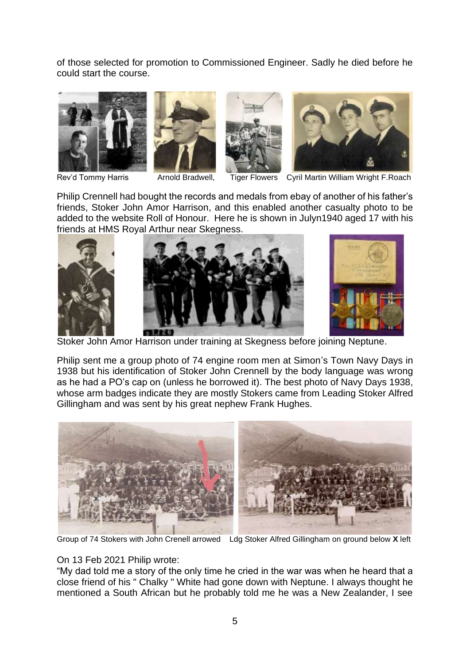of those selected for promotion to Commissioned Engineer. Sadly he died before he could start the course.









Rev'd Tommy Harris **Arnold Bradwell,** Tiger Flowers Cyril Martin William Wright F.Roach

Philip Crennell had bought the records and medals from ebay of another of his father's friends, Stoker John Amor Harrison, and this enabled another casualty photo to be added to the website Roll of Honour. Here he is shown in Julyn1940 aged 17 with his friends at HMS Royal Arthur near Skegness.



Stoker John Amor Harrison under training at Skegness before joining Neptune.

Philip sent me a group photo of 74 engine room men at Simon's Town Navy Days in 1938 but his identification of Stoker John Crennell by the body language was wrong as he had a PO's cap on (unless he borrowed it). The best photo of Navy Days 1938, whose arm badges indicate they are mostly Stokers came from Leading Stoker Alfred Gillingham and was sent by his great nephew Frank Hughes.



Group of 74 Stokers with John Crenell arrowed Ldg Stoker Alfred Gillingham on ground below **X** left

#### On 13 Feb 2021 Philip wrote:

"My dad told me a story of the only time he cried in the war was when he heard that a close friend of his " Chalky " White had gone down with Neptune. I always thought he mentioned a South African but he probably told me he was a New Zealander, I see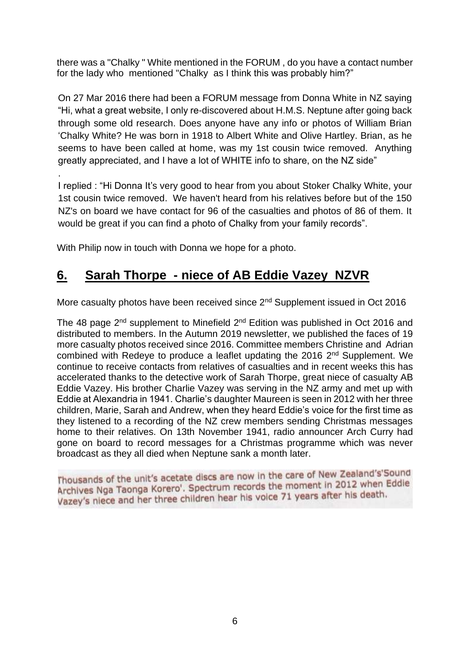there was a "Chalky " White mentioned in the FORUM , do you have a contact number for the lady who mentioned "Chalky as I think this was probably him?"

On 27 Mar 2016 there had been a FORUM message from Donna White in NZ saying "Hi, what a great website, I only re-discovered about H.M.S. Neptune after going back through some old research. Does anyone have any info or photos of William Brian 'Chalky White? He was born in 1918 to Albert White and Olive Hartley. Brian, as he seems to have been called at home, was my 1st cousin twice removed. Anything greatly appreciated, and I have a lot of WHITE info to share, on the NZ side"

I replied : "Hi Donna It's very good to hear from you about Stoker Chalky White, your 1st cousin twice removed. We haven't heard from his relatives before but of the 150 NZ's on board we have contact for 96 of the casualties and photos of 86 of them. It would be great if you can find a photo of Chalky from your family records".

With Philip now in touch with Donna we hope for a photo.

.

## **6. Sarah Thorpe - niece of AB Eddie Vazey NZVR**

More casualty photos have been received since 2<sup>nd</sup> Supplement issued in Oct 2016

The 48 page  $2^{nd}$  supplement to Minefield  $2^{nd}$  Edition was published in Oct 2016 and distributed to members. In the Autumn 2019 newsletter, we published the faces of 19 more casualty photos received since 2016. Committee members Christine and Adrian combined with Redeye to produce a leaflet updating the 2016 2<sup>nd</sup> Supplement. We continue to receive contacts from relatives of casualties and in recent weeks this has accelerated thanks to the detective work of Sarah Thorpe, great niece of casualty AB Eddie Vazey. His brother Charlie Vazey was serving in the NZ army and met up with Eddie at Alexandria in 1941. Charlie's daughter Maureen is seen in 2012 with her three children, Marie, Sarah and Andrew, when they heard Eddie's voice for the first time as they listened to a recording of the NZ crew members sending Christmas messages home to their relatives. On 13th November 1941, radio announcer Arch Curry had gone on board to record messages for a Christmas programme which was never broadcast as they all died when Neptune sank a month later.

Thousands of the unit's acetate discs are now in the care of New Zealand's'Sound Thousands of the unit's acetate discs are now in the care of New Eddie<br>Archives Nga Taonga Korero'. Spectrum records the moment in 2012 when Eddie Archives Nga Taonga Korero . Spectrum records the main safter his death.<br>Vazey's niece and her three children hear his voice 71 years after his death.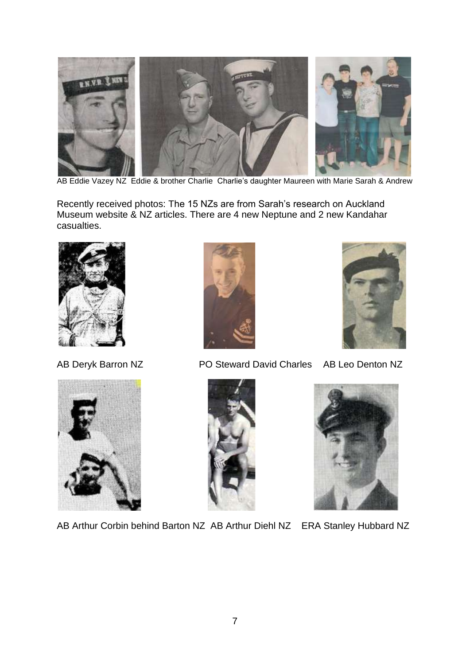

AB Eddie Vazey NZ Eddie & brother Charlie Charlie's daughter Maureen with Marie Sarah & Andrew

Recently received photos: The 15 NZs are from Sarah's research on Auckland Museum website & NZ articles. There are 4 new Neptune and 2 new Kandahar casualties.









AB Deryk Barron NZ PO Steward David Charles AB Leo Denton NZ





AB Arthur Corbin behind Barton NZ AB Arthur Diehl NZ ERA Stanley Hubbard NZ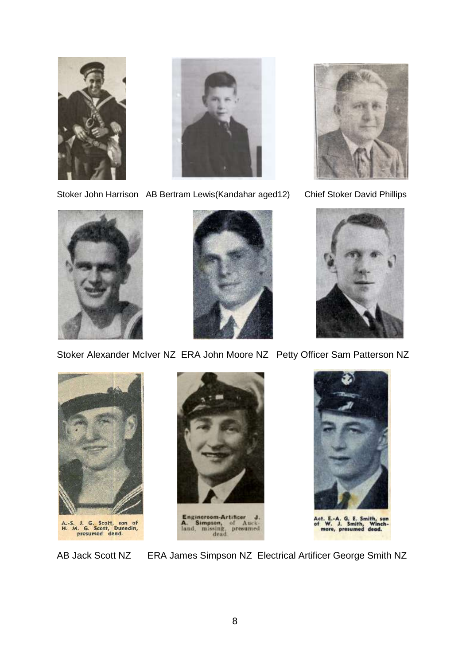



Stoker John Harrison AB Bertram Lewis(Kandahar aged12) Chief Stoker David Phillips









Stoker Alexander McIver NZ ERA John Moore NZ Petty Officer Sam Patterson NZ





Engineroom-Artificer J.<br>A. Simpson, of Auckland, missing, presumed dead.



t. E.-A. G. E. Smith, son<br>W. J. Smith, Winch-<br>more, presumed dead.

AB Jack Scott NZ ERA James Simpson NZ Electrical Artificer George Smith NZ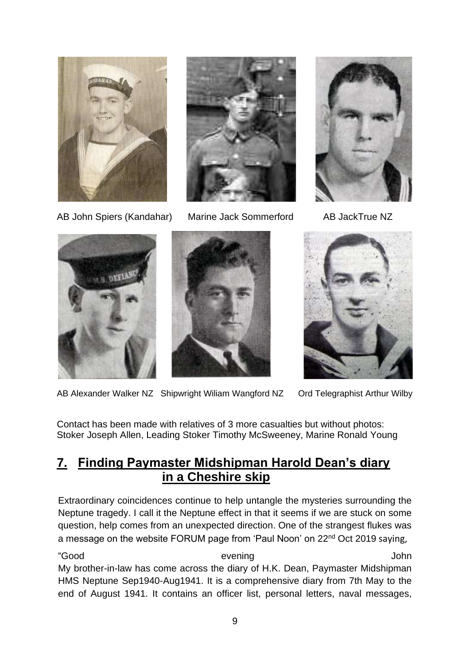



AB John Spiers (Kandahar) Marine Jack Sommerford AB JackTrue NZ









AB Alexander Walker NZ Shipwright Wiliam Wangford NZ Ord Telegraphist Arthur Wilby

Contact has been made with relatives of 3 more casualties but without photos: Stoker Joseph Allen, Leading Stoker Timothy McSweeney, Marine Ronald Young

#### **7. Finding Paymaster Midshipman Harold Dean's diary in a Cheshire skip**

Extraordinary coincidences continue to help untangle the mysteries surrounding the Neptune tragedy. I call it the Neptune effect in that it seems if we are stuck on some question, help comes from an unexpected direction. One of the strangest flukes was a message on the website FORUM page from 'Paul Noon' on 22<sup>nd</sup> Oct 2019 saying,

"Good evening John My brother-in-law has come across the diary of H.K. Dean, Paymaster Midshipman HMS Neptune Sep1940-Aug1941. It is a comprehensive diary from 7th May to the end of August 1941. It contains an officer list, personal letters, naval messages,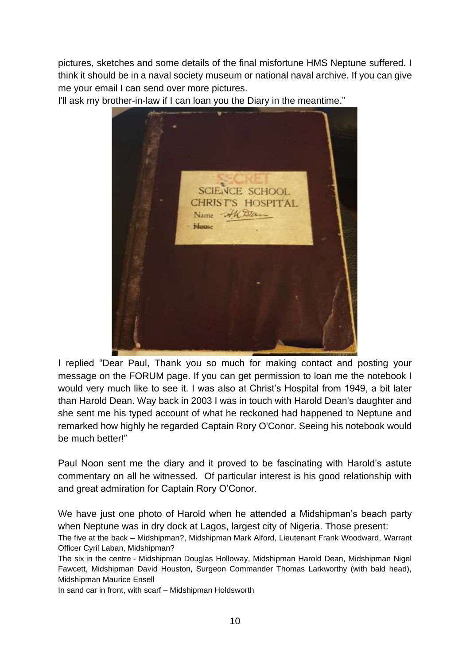pictures, sketches and some details of the final misfortune HMS Neptune suffered. I think it should be in a naval society museum or national naval archive. If you can give me your email I can send over more pictures.

I'll ask my brother-in-law if I can loan you the Diary in the meantime."



I replied "Dear Paul, Thank you so much for making contact and posting your message on the FORUM page. If you can get permission to loan me the notebook I would very much like to see it. I was also at Christ's Hospital from 1949, a bit later than Harold Dean. Way back in 2003 I was in touch with Harold Dean's daughter and she sent me his typed account of what he reckoned had happened to Neptune and remarked how highly he regarded Captain Rory O'Conor. Seeing his notebook would be much better!"

Paul Noon sent me the diary and it proved to be fascinating with Harold's astute commentary on all he witnessed. Of particular interest is his good relationship with and great admiration for Captain Rory O'Conor.

We have just one photo of Harold when he attended a Midshipman's beach party when Neptune was in dry dock at Lagos, largest city of Nigeria. Those present:

The five at the back – Midshipman?, Midshipman Mark Alford, Lieutenant Frank Woodward, Warrant Officer Cyril Laban, Midshipman?

The six in the centre - Midshipman Douglas Holloway, Midshipman Harold Dean, Midshipman Nigel Fawcett, Midshipman David Houston, Surgeon Commander Thomas Larkworthy (with bald head), Midshipman Maurice Ensell

In sand car in front, with scarf – Midshipman Holdsworth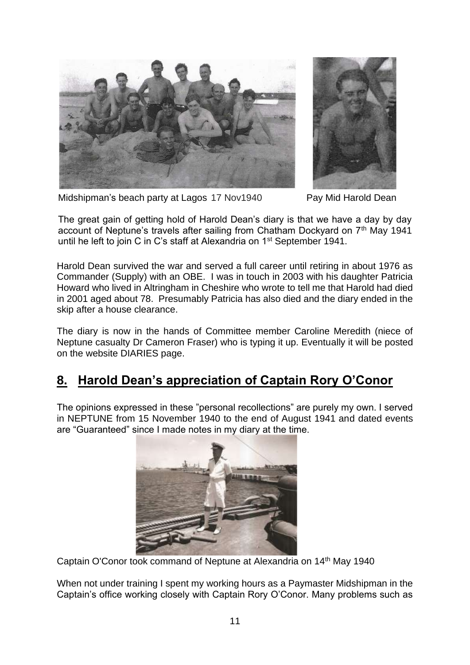



Midshipman's beach party at Lagos 17 Nov1940 Pay Mid Harold Dean

The great gain of getting hold of Harold Dean's diary is that we have a day by day account of Neptune's travels after sailing from Chatham Dockvard on 7<sup>th</sup> May 1941 until he left to join C in C's staff at Alexandria on 1<sup>st</sup> September 1941.

Harold Dean survived the war and served a full career until retiring in about 1976 as Commander (Supply) with an OBE. I was in touch in 2003 with his daughter Patricia Howard who lived in Altringham in Cheshire who wrote to tell me that Harold had died in 2001 aged about 78. Presumably Patricia has also died and the diary ended in the skip after a house clearance.

The diary is now in the hands of Committee member Caroline Meredith (niece of Neptune casualty Dr Cameron Fraser) who is typing it up. Eventually it will be posted on the website DIARIES page.

#### **8. Harold Dean's appreciation of Captain Rory O'Conor**

The opinions expressed in these "personal recollections" are purely my own. I served in NEPTUNE from 15 November 1940 to the end of August 1941 and dated events are "Guaranteed" since I made notes in my diary at the time.



Captain O'Conor took command of Neptune at Alexandria on 14<sup>th</sup> May 1940

When not under training I spent my working hours as a Paymaster Midshipman in the Captain's office working closely with Captain Rory O'Conor. Many problems such as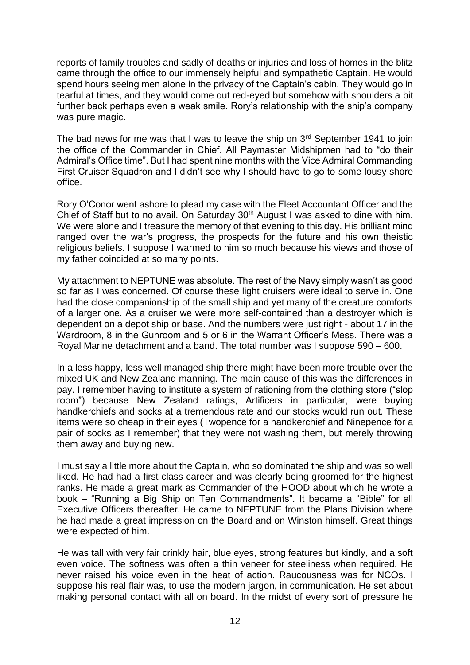reports of family troubles and sadly of deaths or injuries and loss of homes in the blitz came through the office to our immensely helpful and sympathetic Captain. He would spend hours seeing men alone in the privacy of the Captain's cabin. They would go in tearful at times, and they would come out red-eyed but somehow with shoulders a bit further back perhaps even a weak smile. Rory's relationship with the ship's company was pure magic.

The bad news for me was that I was to leave the ship on  $3<sup>rd</sup>$  September 1941 to join the office of the Commander in Chief. All Paymaster Midshipmen had to "do their Admiral's Office time". But I had spent nine months with the Vice Admiral Commanding First Cruiser Squadron and I didn't see why I should have to go to some lousy shore office.

Rory O'Conor went ashore to plead my case with the Fleet Accountant Officer and the Chief of Staff but to no avail. On Saturday 30<sup>th</sup> August I was asked to dine with him. We were alone and I treasure the memory of that evening to this day. His brilliant mind ranged over the war's progress, the prospects for the future and his own theistic religious beliefs. I suppose I warmed to him so much because his views and those of my father coincided at so many points.

My attachment to NEPTUNE was absolute. The rest of the Navy simply wasn't as good so far as I was concerned. Of course these light cruisers were ideal to serve in. One had the close companionship of the small ship and yet many of the creature comforts of a larger one. As a cruiser we were more self-contained than a destroyer which is dependent on a depot ship or base. And the numbers were just right - about 17 in the Wardroom, 8 in the Gunroom and 5 or 6 in the Warrant Officer's Mess. There was a Royal Marine detachment and a band. The total number was I suppose 590 – 600.

In a less happy, less well managed ship there might have been more trouble over the mixed UK and New Zealand manning. The main cause of this was the differences in pay. I remember having to institute a system of rationing from the clothing store ("slop room") because New Zealand ratings, Artificers in particular, were buying handkerchiefs and socks at a tremendous rate and our stocks would run out. These items were so cheap in their eyes (Twopence for a handkerchief and Ninepence for a pair of socks as I remember) that they were not washing them, but merely throwing them away and buying new.

I must say a little more about the Captain, who so dominated the ship and was so well liked. He had had a first class career and was clearly being groomed for the highest ranks. He made a great mark as Commander of the HOOD about which he wrote a book – "Running a Big Ship on Ten Commandments". It became a "Bible" for all Executive Officers thereafter. He came to NEPTUNE from the Plans Division where he had made a great impression on the Board and on Winston himself. Great things were expected of him.

He was tall with very fair crinkly hair, blue eyes, strong features but kindly, and a soft even voice. The softness was often a thin veneer for steeliness when required. He never raised his voice even in the heat of action. Raucousness was for NCOs. I suppose his real flair was, to use the modern jargon, in communication. He set about making personal contact with all on board. In the midst of every sort of pressure he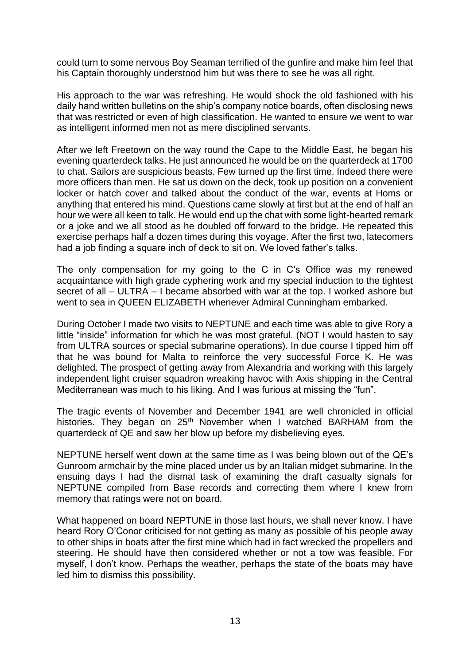could turn to some nervous Boy Seaman terrified of the gunfire and make him feel that his Captain thoroughly understood him but was there to see he was all right.

His approach to the war was refreshing. He would shock the old fashioned with his daily hand written bulletins on the ship's company notice boards, often disclosing news that was restricted or even of high classification. He wanted to ensure we went to war as intelligent informed men not as mere disciplined servants.

After we left Freetown on the way round the Cape to the Middle East, he began his evening quarterdeck talks. He just announced he would be on the quarterdeck at 1700 to chat. Sailors are suspicious beasts. Few turned up the first time. Indeed there were more officers than men. He sat us down on the deck, took up position on a convenient locker or hatch cover and talked about the conduct of the war, events at Homs or anything that entered his mind. Questions came slowly at first but at the end of half an hour we were all keen to talk. He would end up the chat with some light-hearted remark or a joke and we all stood as he doubled off forward to the bridge. He repeated this exercise perhaps half a dozen times during this voyage. After the first two, latecomers had a job finding a square inch of deck to sit on. We loved father's talks.

The only compensation for my going to the C in C's Office was my renewed acquaintance with high grade cyphering work and my special induction to the tightest secret of all – ULTRA – I became absorbed with war at the top. I worked ashore but went to sea in QUEEN ELIZABETH whenever Admiral Cunningham embarked.

During October I made two visits to NEPTUNE and each time was able to give Rory a little "inside" information for which he was most grateful. (NOT I would hasten to say from ULTRA sources or special submarine operations). In due course I tipped him off that he was bound for Malta to reinforce the very successful Force K. He was delighted. The prospect of getting away from Alexandria and working with this largely independent light cruiser squadron wreaking havoc with Axis shipping in the Central Mediterranean was much to his liking. And I was furious at missing the "fun".

The tragic events of November and December 1941 are well chronicled in official histories. They began on 25<sup>th</sup> November when I watched BARHAM from the quarterdeck of QE and saw her blow up before my disbelieving eyes.

NEPTUNE herself went down at the same time as I was being blown out of the QE's Gunroom armchair by the mine placed under us by an Italian midget submarine. In the ensuing days I had the dismal task of examining the draft casualty signals for NEPTUNE compiled from Base records and correcting them where I knew from memory that ratings were not on board.

What happened on board NEPTUNE in those last hours, we shall never know. I have heard Rory O'Conor criticised for not getting as many as possible of his people away to other ships in boats after the first mine which had in fact wrecked the propellers and steering. He should have then considered whether or not a tow was feasible. For myself, I don't know. Perhaps the weather, perhaps the state of the boats may have led him to dismiss this possibility.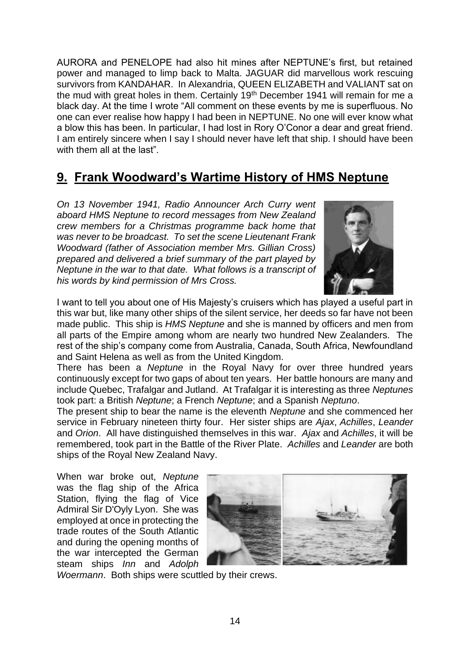AURORA and PENELOPE had also hit mines after NEPTUNE's first, but retained power and managed to limp back to Malta. JAGUAR did marvellous work rescuing survivors from KANDAHAR. In Alexandria, QUEEN ELIZABETH and VALIANT sat on the mud with great holes in them. Certainly 19<sup>th</sup> December 1941 will remain for me a black day. At the time I wrote "All comment on these events by me is superfluous. No one can ever realise how happy I had been in NEPTUNE. No one will ever know what a blow this has been. In particular, I had lost in Rory O'Conor a dear and great friend. I am entirely sincere when I say I should never have left that ship. I should have been with them all at the last".

## **9. Frank Woodward's Wartime History of HMS Neptune**

*On 13 November 1941, Radio Announcer Arch Curry went aboard HMS Neptune to record messages from New Zealand crew members for a Christmas programme back home that was never to be broadcast. To set the scene Lieutenant Frank Woodward (father of Association member Mrs. Gillian Cross) prepared and delivered a brief summary of the part played by Neptune in the war to that date. What follows is a transcript of his words by kind permission of Mrs Cross.* 



I want to tell you about one of His Majesty's cruisers which has played a useful part in this war but, like many other ships of the silent service, her deeds so far have not been made public. This ship is *HMS Neptune* and she is manned by officers and men from all parts of the Empire among whom are nearly two hundred New Zealanders. The rest of the ship's company come from Australia, Canada, South Africa, Newfoundland and Saint Helena as well as from the United Kingdom.

There has been a *Neptune* in the Royal Navy for over three hundred years continuously except for two gaps of about ten years. Her battle honours are many and include Quebec, Trafalgar and Jutland. At Trafalgar it is interesting as three *Neptunes* took part: a British *Neptune*; a French *Neptune*; and a Spanish *Neptuno*.

The present ship to bear the name is the eleventh *Neptune* and she commenced her service in February nineteen thirty four. Her sister ships are *Ajax*, *Achilles*, *Leander* and *Orion*. All have distinguished themselves in this war. *Ajax* and *Achilles*, it will be remembered, took part in the Battle of the River Plate. *Achilles* and *Leander* are both ships of the Royal New Zealand Navy.

When war broke out, *Neptune* was the flag ship of the Africa Station, flying the flag of Vice Admiral Sir D'Oyly Lyon. She was employed at once in protecting the trade routes of the South Atlantic and during the opening months of the war intercepted the German steam ships *Inn* and *Adolph* 



*Woermann*. Both ships were scuttled by their crews.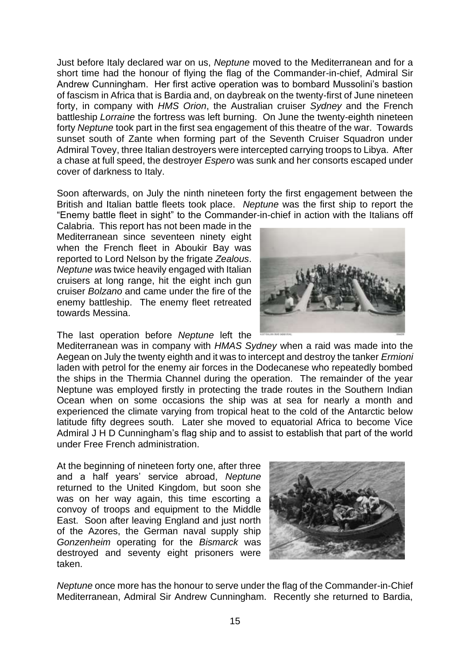Just before Italy declared war on us, *Neptune* moved to the Mediterranean and for a short time had the honour of flying the flag of the Commander-in-chief, Admiral Sir Andrew Cunningham. Her first active operation was to bombard Mussolini's bastion of fascism in Africa that is Bardia and, on daybreak on the twenty-first of June nineteen forty, in company with *HMS Orion*, the Australian cruiser *Sydney* and the French battleship *Lorraine* the fortress was left burning. On June the twenty-eighth nineteen forty *Neptune* took part in the first sea engagement of this theatre of the war. Towards sunset south of Zante when forming part of the Seventh Cruiser Squadron under Admiral Tovey, three Italian destroyers were intercepted carrying troops to Libya. After a chase at full speed, the destroyer *Espero* was sunk and her consorts escaped under cover of darkness to Italy.

Soon afterwards, on July the ninth nineteen forty the first engagement between the British and Italian battle fleets took place. *Neptune* was the first ship to report the "Enemy battle fleet in sight" to the Commander-in-chief in action with the Italians off

Calabria. This report has not been made in the Mediterranean since seventeen ninety eight when the French fleet in Aboukir Bay was reported to Lord Nelson by the frigate *Zealous*. *Neptune w*as twice heavily engaged with Italian cruisers at long range, hit the eight inch gun cruiser *Bolzano* and came under the fire of the enemy battleship. The enemy fleet retreated towards Messina.

The last operation before *Neptune* left the

Mediterranean was in company with *HMAS Sydney* when a raid was made into the Aegean on July the twenty eighth and it was to intercept and destroy the tanker *Ermioni* laden with petrol for the enemy air forces in the Dodecanese who repeatedly bombed the ships in the Thermia Channel during the operation. The remainder of the year Neptune was employed firstly in protecting the trade routes in the Southern Indian Ocean when on some occasions the ship was at sea for nearly a month and experienced the climate varying from tropical heat to the cold of the Antarctic below latitude fifty degrees south. Later she moved to equatorial Africa to become Vice Admiral J H D Cunningham's flag ship and to assist to establish that part of the world under Free French administration.

At the beginning of nineteen forty one, after three and a half years' service abroad, *Neptune* returned to the United Kingdom, but soon she was on her way again, this time escorting a convoy of troops and equipment to the Middle East. Soon after leaving England and just north of the Azores, the German naval supply ship *Gonzenheim* operating for the *Bismarck* was destroyed and seventy eight prisoners were taken.



*Neptune* once more has the honour to serve under the flag of the Commander-in-Chief Mediterranean, Admiral Sir Andrew Cunningham. Recently she returned to Bardia,

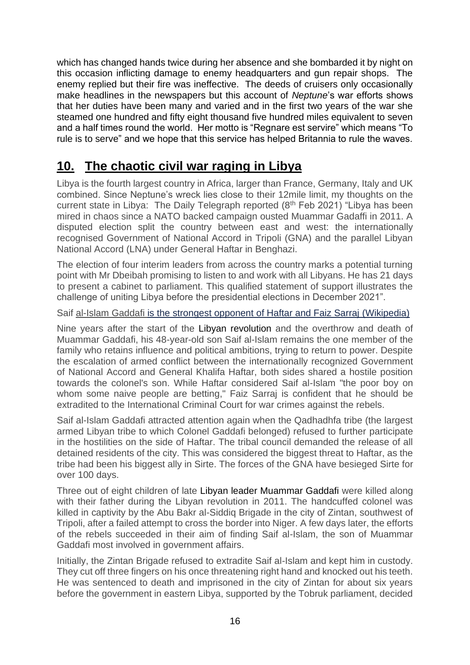which has changed hands twice during her absence and she bombarded it by night on this occasion inflicting damage to enemy headquarters and gun repair shops. The enemy replied but their fire was ineffective. The deeds of cruisers only occasionally make headlines in the newspapers but this account of *Neptune*'s war efforts shows that her duties have been many and varied and in the first two years of the war she steamed one hundred and fifty eight thousand five hundred miles equivalent to seven and a half times round the world. Her motto is "Regnare est servire" which means "To rule is to serve" and we hope that this service has helped Britannia to rule the waves.

# **10. The chaotic civil war raging in Libya**

Libya is the fourth largest country in Africa, larger than France, Germany, Italy and UK combined. Since Neptune's wreck lies close to their 12mile limit, my thoughts on the current state in Libya: The Daily Telegraph reported (8<sup>th</sup> Feb 2021) "Libya has been mired in chaos since a NATO backed campaign ousted Muammar Gadaffi in 2011. A disputed election split the country between east and west: the internationally recognised Government of National Accord in Tripoli (GNA) and the parallel Libyan National Accord (LNA) under General Haftar in Benghazi.

The election of four interim leaders from across the country marks a potential turning point with Mr Dbeibah promising to listen to and work with all Libyans. He has 21 days to present a cabinet to parliament. This qualified statement of support illustrates the challenge of uniting Libya before the presidential elections in December 2021".

Saif al-Islam Gaddafi is the strongest opponent of Haftar and Faiz Sarraj (Wikipedia)

Nine years after the start of the [Libyan revolution](https://112.international/politics/us-temporarily-withdraws-its-military-from-libya-38617.html) and the overthrow and death of Muammar Gaddafi, his 48-year-old son Saif al-Islam remains the one member of the family who retains influence and political ambitions, trying to return to power. Despite the escalation of armed conflict between the internationally recognized Government of National Accord and General Khalifa Haftar, both sides shared a hostile position towards the colonel's son. While Haftar considered Saif al-Islam "the poor boy on whom some naive people are betting," Faiz Sarraj is confident that he should be extradited to the International Criminal Court for war crimes against the rebels.

Saif al-Islam Gaddafi attracted attention again when the Qadhadhfa tribe (the largest armed Libyan tribe to which Colonel Gaddafi belonged) refused to further participate in the hostilities on the side of Haftar. The tribal council demanded the release of all detained residents of the city. This was considered the biggest threat to Haftar, as the tribe had been his biggest ally in Sirte. The forces of the GNA have besieged Sirte for over 100 days.

Three out of eight children of late [Libyan leader Muammar Gaddafi](https://112.international/ukraine-top-news/libyan-passing-move-why-haftar-gives-no-way-to-putin-and-erdogan-47704.html) were killed along with their father during the Libyan revolution in 2011. The handcuffed colonel was killed in captivity by the Abu Bakr al-Siddiq Brigade in the city of Zintan, southwest of Tripoli, after a failed attempt to cross the border into Niger. A few days later, the efforts of the rebels succeeded in their aim of finding Saif al-Islam, the son of Muammar Gaddafi most involved in government affairs.

Initially, the Zintan Brigade refused to extradite Saif al-Islam and kept him in custody. They cut off three fingers on his once threatening right hand and knocked out his teeth. He was sentenced to death and imprisoned in the city of Zintan for about six years before the government in eastern Libya, supported by the Tobruk parliament, decided